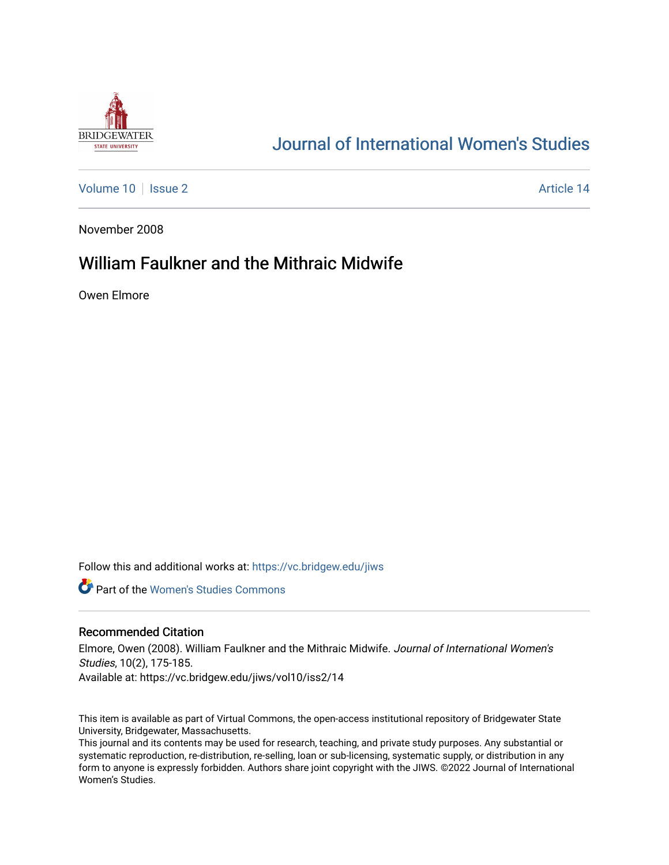

# [Journal of International Women's Studies](https://vc.bridgew.edu/jiws)

[Volume 10](https://vc.bridgew.edu/jiws/vol10) | [Issue 2](https://vc.bridgew.edu/jiws/vol10/iss2) Article 14

November 2008

# William Faulkner and the Mithraic Midwife

Owen Elmore

Follow this and additional works at: [https://vc.bridgew.edu/jiws](https://vc.bridgew.edu/jiws?utm_source=vc.bridgew.edu%2Fjiws%2Fvol10%2Fiss2%2F14&utm_medium=PDF&utm_campaign=PDFCoverPages)

**Part of the Women's Studies Commons** 

#### Recommended Citation

Elmore, Owen (2008). William Faulkner and the Mithraic Midwife. Journal of International Women's Studies, 10(2), 175-185. Available at: https://vc.bridgew.edu/jiws/vol10/iss2/14

This item is available as part of Virtual Commons, the open-access institutional repository of Bridgewater State University, Bridgewater, Massachusetts.

This journal and its contents may be used for research, teaching, and private study purposes. Any substantial or systematic reproduction, re-distribution, re-selling, loan or sub-licensing, systematic supply, or distribution in any form to anyone is expressly forbidden. Authors share joint copyright with the JIWS. ©2022 Journal of International Women's Studies.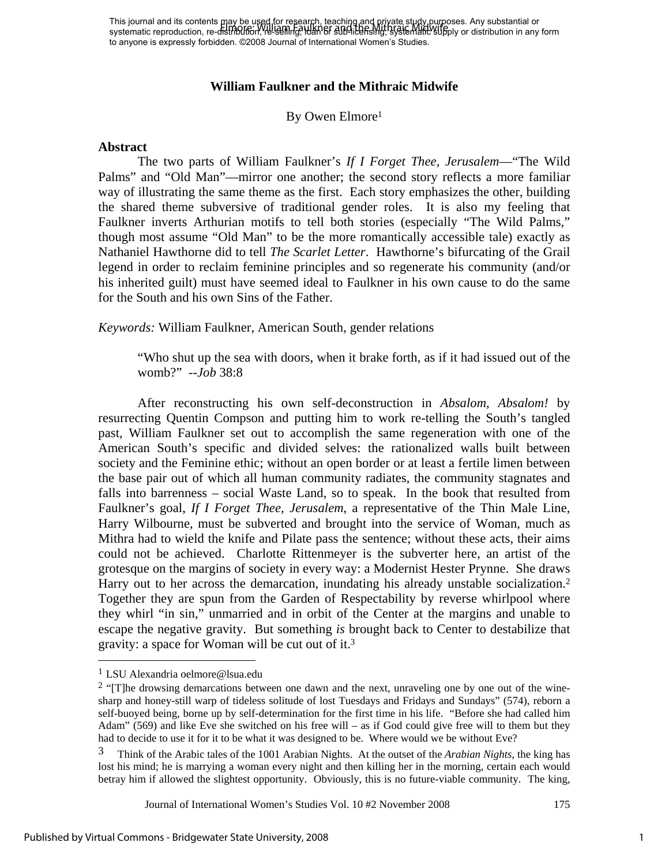This journal and its contents may be used for research, teaching and private study purposes. Any substantial or systematic reproduction, re-d<del>istribution, re-selling, idan</del> or sub-li<del>censing, systematic supp</del>ly or distribution in any form to anyone is expressly forbidden. ©2008 Journal of International Women's Studies. Elmore: William Faulkner and the Mithraic Midwife

### **William Faulkner and the Mithraic Midwife**

### By Owen Elmore1

#### **Abstract**

The two parts of William Faulkner's *If I Forget Thee, Jerusalem*—"The Wild Palms" and "Old Man"—mirror one another; the second story reflects a more familiar way of illustrating the same theme as the first. Each story emphasizes the other, building the shared theme subversive of traditional gender roles. It is also my feeling that Faulkner inverts Arthurian motifs to tell both stories (especially "The Wild Palms," though most assume "Old Man" to be the more romantically accessible tale) exactly as Nathaniel Hawthorne did to tell *The Scarlet Letter*. Hawthorne's bifurcating of the Grail legend in order to reclaim feminine principles and so regenerate his community (and/or his inherited guilt) must have seemed ideal to Faulkner in his own cause to do the same for the South and his own Sins of the Father.

*Keywords:* William Faulkner, American South, gender relations

"Who shut up the sea with doors, when it brake forth, as if it had issued out of the womb?" --*Job* 38:8

After reconstructing his own self-deconstruction in *Absalom, Absalom!* by resurrecting Quentin Compson and putting him to work re-telling the South's tangled past, William Faulkner set out to accomplish the same regeneration with one of the American South's specific and divided selves: the rationalized walls built between society and the Feminine ethic; without an open border or at least a fertile limen between the base pair out of which all human community radiates, the community stagnates and falls into barrenness – social Waste Land, so to speak. In the book that resulted from Faulkner's goal, *If I Forget Thee, Jerusalem*, a representative of the Thin Male Line, Harry Wilbourne, must be subverted and brought into the service of Woman, much as Mithra had to wield the knife and Pilate pass the sentence; without these acts, their aims could not be achieved. Charlotte Rittenmeyer is the subverter here, an artist of the grotesque on the margins of society in every way: a Modernist Hester Prynne. She draws Harry out to her across the demarcation, inundating his already unstable socialization.<sup>2</sup> Together they are spun from the Garden of Respectability by reverse whirlpool where they whirl "in sin," unmarried and in orbit of the Center at the margins and unable to escape the negative gravity. But something *is* brought back to Center to destabilize that gravity: a space for Woman will be cut out of it.3

 $\overline{a}$ 

<sup>1</sup> LSU Alexandria oelmore@lsua.edu

 $2$  "[T]he drowsing demarcations between one dawn and the next, unraveling one by one out of the winesharp and honey-still warp of tideless solitude of lost Tuesdays and Fridays and Sundays" (574), reborn a self-buoyed being, borne up by self-determination for the first time in his life. "Before she had called him Adam" (569) and like Eve she switched on his free will – as if God could give free will to them but they had to decide to use it for it to be what it was designed to be. Where would we be without Eve?

<sup>3</sup> Think of the Arabic tales of the 1001 Arabian Nights. At the outset of the *Arabian Nights*, the king has lost his mind; he is marrying a woman every night and then killing her in the morning, certain each would betray him if allowed the slightest opportunity. Obviously, this is no future-viable community. The king,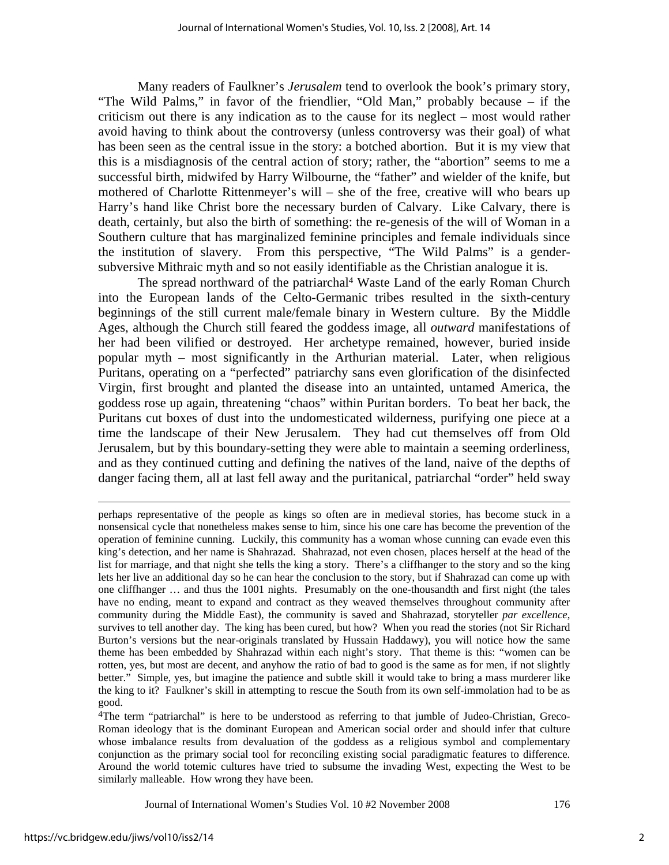Many readers of Faulkner's *Jerusalem* tend to overlook the book's primary story, "The Wild Palms," in favor of the friendlier, "Old Man," probably because – if the criticism out there is any indication as to the cause for its neglect – most would rather avoid having to think about the controversy (unless controversy was their goal) of what has been seen as the central issue in the story: a botched abortion. But it is my view that this is a misdiagnosis of the central action of story; rather, the "abortion" seems to me a successful birth, midwifed by Harry Wilbourne, the "father" and wielder of the knife, but mothered of Charlotte Rittenmeyer's will – she of the free, creative will who bears up Harry's hand like Christ bore the necessary burden of Calvary. Like Calvary, there is death, certainly, but also the birth of something: the re-genesis of the will of Woman in a Southern culture that has marginalized feminine principles and female individuals since the institution of slavery. From this perspective, "The Wild Palms" is a gendersubversive Mithraic myth and so not easily identifiable as the Christian analogue it is.

The spread northward of the patriarchal<sup>4</sup> Waste Land of the early Roman Church into the European lands of the Celto-Germanic tribes resulted in the sixth-century beginnings of the still current male/female binary in Western culture. By the Middle Ages, although the Church still feared the goddess image, all *outward* manifestations of her had been vilified or destroyed. Her archetype remained, however, buried inside popular myth – most significantly in the Arthurian material. Later, when religious Puritans, operating on a "perfected" patriarchy sans even glorification of the disinfected Virgin, first brought and planted the disease into an untainted, untamed America, the goddess rose up again, threatening "chaos" within Puritan borders. To beat her back, the Puritans cut boxes of dust into the undomesticated wilderness, purifying one piece at a time the landscape of their New Jerusalem. They had cut themselves off from Old Jerusalem, but by this boundary-setting they were able to maintain a seeming orderliness, and as they continued cutting and defining the natives of the land, naive of the depths of danger facing them, all at last fell away and the puritanical, patriarchal "order" held sway

perhaps representative of the people as kings so often are in medieval stories, has become stuck in a nonsensical cycle that nonetheless makes sense to him, since his one care has become the prevention of the operation of feminine cunning. Luckily, this community has a woman whose cunning can evade even this king's detection, and her name is Shahrazad. Shahrazad, not even chosen, places herself at the head of the list for marriage, and that night she tells the king a story. There's a cliffhanger to the story and so the king lets her live an additional day so he can hear the conclusion to the story, but if Shahrazad can come up with one cliffhanger … and thus the 1001 nights. Presumably on the one-thousandth and first night (the tales have no ending, meant to expand and contract as they weaved themselves throughout community after community during the Middle East), the community is saved and Shahrazad, storyteller *par excellence*, survives to tell another day. The king has been cured, but how? When you read the stories (not Sir Richard Burton's versions but the near-originals translated by Hussain Haddawy), you will notice how the same theme has been embedded by Shahrazad within each night's story. That theme is this: "women can be rotten, yes, but most are decent, and anyhow the ratio of bad to good is the same as for men, if not slightly better." Simple, yes, but imagine the patience and subtle skill it would take to bring a mass murderer like the king to it? Faulkner's skill in attempting to rescue the South from its own self-immolation had to be as good.

<sup>4</sup>The term "patriarchal" is here to be understood as referring to that jumble of Judeo-Christian, Greco-Roman ideology that is the dominant European and American social order and should infer that culture whose imbalance results from devaluation of the goddess as a religious symbol and complementary conjunction as the primary social tool for reconciling existing social paradigmatic features to difference. Around the world totemic cultures have tried to subsume the invading West, expecting the West to be similarly malleable. How wrong they have been.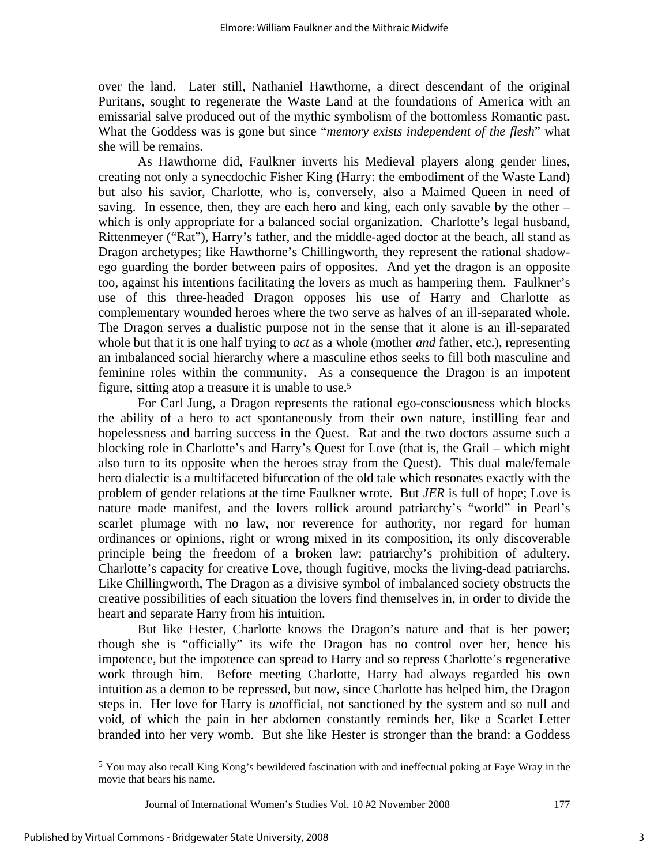over the land. Later still, Nathaniel Hawthorne, a direct descendant of the original Puritans, sought to regenerate the Waste Land at the foundations of America with an emissarial salve produced out of the mythic symbolism of the bottomless Romantic past. What the Goddess was is gone but since "*memory exists independent of the flesh*" what she will be remains.

As Hawthorne did, Faulkner inverts his Medieval players along gender lines, creating not only a synecdochic Fisher King (Harry: the embodiment of the Waste Land) but also his savior, Charlotte, who is, conversely, also a Maimed Queen in need of saving. In essence, then, they are each hero and king, each only savable by the other – which is only appropriate for a balanced social organization. Charlotte's legal husband, Rittenmeyer ("Rat"), Harry's father, and the middle-aged doctor at the beach, all stand as Dragon archetypes; like Hawthorne's Chillingworth, they represent the rational shadowego guarding the border between pairs of opposites. And yet the dragon is an opposite too, against his intentions facilitating the lovers as much as hampering them. Faulkner's use of this three-headed Dragon opposes his use of Harry and Charlotte as complementary wounded heroes where the two serve as halves of an ill-separated whole. The Dragon serves a dualistic purpose not in the sense that it alone is an ill-separated whole but that it is one half trying to *act* as a whole (mother *and* father, etc.), representing an imbalanced social hierarchy where a masculine ethos seeks to fill both masculine and feminine roles within the community. As a consequence the Dragon is an impotent figure, sitting atop a treasure it is unable to use.5

For Carl Jung, a Dragon represents the rational ego-consciousness which blocks the ability of a hero to act spontaneously from their own nature, instilling fear and hopelessness and barring success in the Quest. Rat and the two doctors assume such a blocking role in Charlotte's and Harry's Quest for Love (that is, the Grail – which might also turn to its opposite when the heroes stray from the Quest). This dual male/female hero dialectic is a multifaceted bifurcation of the old tale which resonates exactly with the problem of gender relations at the time Faulkner wrote. But *JER* is full of hope; Love is nature made manifest, and the lovers rollick around patriarchy's "world" in Pearl's scarlet plumage with no law, nor reverence for authority, nor regard for human ordinances or opinions, right or wrong mixed in its composition, its only discoverable principle being the freedom of a broken law: patriarchy's prohibition of adultery. Charlotte's capacity for creative Love, though fugitive, mocks the living-dead patriarchs. Like Chillingworth, The Dragon as a divisive symbol of imbalanced society obstructs the creative possibilities of each situation the lovers find themselves in, in order to divide the heart and separate Harry from his intuition.

But like Hester, Charlotte knows the Dragon's nature and that is her power; though she is "officially" its wife the Dragon has no control over her, hence his impotence, but the impotence can spread to Harry and so repress Charlotte's regenerative work through him. Before meeting Charlotte, Harry had always regarded his own intuition as a demon to be repressed, but now, since Charlotte has helped him, the Dragon steps in. Her love for Harry is *un*official, not sanctioned by the system and so null and void, of which the pain in her abdomen constantly reminds her, like a Scarlet Letter branded into her very womb. But she like Hester is stronger than the brand: a Goddess

 $\overline{a}$ 

<sup>5</sup> You may also recall King Kong's bewildered fascination with and ineffectual poking at Faye Wray in the movie that bears his name.

Journal of International Women's Studies Vol. 10 #2 November 2008 177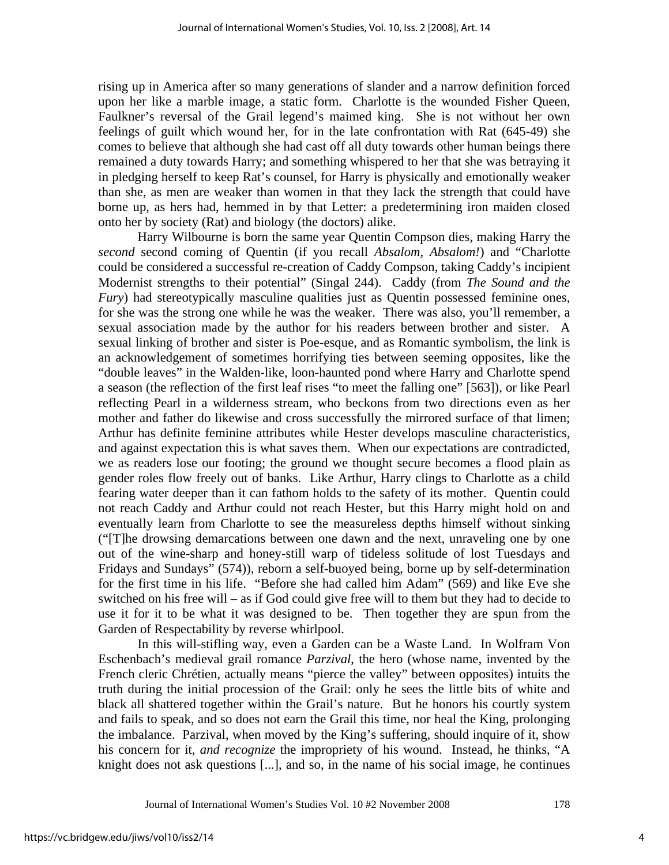rising up in America after so many generations of slander and a narrow definition forced upon her like a marble image, a static form. Charlotte is the wounded Fisher Queen, Faulkner's reversal of the Grail legend's maimed king. She is not without her own feelings of guilt which wound her, for in the late confrontation with Rat (645-49) she comes to believe that although she had cast off all duty towards other human beings there remained a duty towards Harry; and something whispered to her that she was betraying it in pledging herself to keep Rat's counsel, for Harry is physically and emotionally weaker than she, as men are weaker than women in that they lack the strength that could have borne up, as hers had, hemmed in by that Letter: a predetermining iron maiden closed onto her by society (Rat) and biology (the doctors) alike.

Harry Wilbourne is born the same year Quentin Compson dies, making Harry the *second* second coming of Quentin (if you recall *Absalom, Absalom!*) and "Charlotte could be considered a successful re-creation of Caddy Compson, taking Caddy's incipient Modernist strengths to their potential" (Singal 244). Caddy (from *The Sound and the Fury*) had stereotypically masculine qualities just as Quentin possessed feminine ones, for she was the strong one while he was the weaker. There was also, you'll remember, a sexual association made by the author for his readers between brother and sister. A sexual linking of brother and sister is Poe-esque, and as Romantic symbolism, the link is an acknowledgement of sometimes horrifying ties between seeming opposites, like the "double leaves" in the Walden-like, loon-haunted pond where Harry and Charlotte spend a season (the reflection of the first leaf rises "to meet the falling one" [563]), or like Pearl reflecting Pearl in a wilderness stream, who beckons from two directions even as her mother and father do likewise and cross successfully the mirrored surface of that limen; Arthur has definite feminine attributes while Hester develops masculine characteristics, and against expectation this is what saves them. When our expectations are contradicted, we as readers lose our footing; the ground we thought secure becomes a flood plain as gender roles flow freely out of banks. Like Arthur, Harry clings to Charlotte as a child fearing water deeper than it can fathom holds to the safety of its mother. Quentin could not reach Caddy and Arthur could not reach Hester, but this Harry might hold on and eventually learn from Charlotte to see the measureless depths himself without sinking ("[T]he drowsing demarcations between one dawn and the next, unraveling one by one out of the wine-sharp and honey-still warp of tideless solitude of lost Tuesdays and Fridays and Sundays" (574)), reborn a self-buoyed being, borne up by self-determination for the first time in his life. "Before she had called him Adam" (569) and like Eve she switched on his free will – as if God could give free will to them but they had to decide to use it for it to be what it was designed to be. Then together they are spun from the Garden of Respectability by reverse whirlpool.

In this will-stifling way, even a Garden can be a Waste Land. In Wolfram Von Eschenbach's medieval grail romance *Parzival*, the hero (whose name, invented by the French cleric Chrétien, actually means "pierce the valley" between opposites) intuits the truth during the initial procession of the Grail: only he sees the little bits of white and black all shattered together within the Grail's nature. But he honors his courtly system and fails to speak, and so does not earn the Grail this time, nor heal the King, prolonging the imbalance. Parzival, when moved by the King's suffering, should inquire of it, show his concern for it, *and recognize* the impropriety of his wound. Instead, he thinks, "A knight does not ask questions [...], and so, in the name of his social image, he continues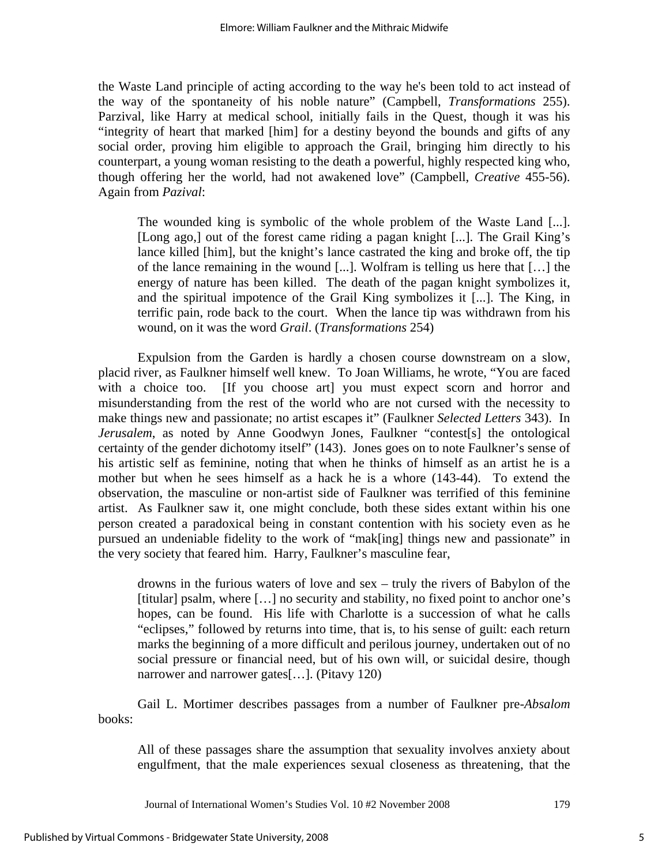the Waste Land principle of acting according to the way he's been told to act instead of the way of the spontaneity of his noble nature" (Campbell, *Transformations* 255). Parzival, like Harry at medical school, initially fails in the Quest, though it was his "integrity of heart that marked [him] for a destiny beyond the bounds and gifts of any social order, proving him eligible to approach the Grail, bringing him directly to his counterpart, a young woman resisting to the death a powerful, highly respected king who, though offering her the world, had not awakened love" (Campbell, *Creative* 455-56). Again from *Pazival*:

The wounded king is symbolic of the whole problem of the Waste Land [...]. [Long ago,] out of the forest came riding a pagan knight [...]. The Grail King's lance killed [him], but the knight's lance castrated the king and broke off, the tip of the lance remaining in the wound [...]. Wolfram is telling us here that […] the energy of nature has been killed. The death of the pagan knight symbolizes it, and the spiritual impotence of the Grail King symbolizes it [...]. The King, in terrific pain, rode back to the court. When the lance tip was withdrawn from his wound, on it was the word *Grail*. (*Transformations* 254)

Expulsion from the Garden is hardly a chosen course downstream on a slow, placid river, as Faulkner himself well knew. To Joan Williams, he wrote, "You are faced with a choice too. [If you choose art] you must expect scorn and horror and misunderstanding from the rest of the world who are not cursed with the necessity to make things new and passionate; no artist escapes it" (Faulkner *Selected Letters* 343). In *Jerusalem*, as noted by Anne Goodwyn Jones, Faulkner "contest[s] the ontological certainty of the gender dichotomy itself" (143). Jones goes on to note Faulkner's sense of his artistic self as feminine, noting that when he thinks of himself as an artist he is a mother but when he sees himself as a hack he is a whore (143-44). To extend the observation, the masculine or non-artist side of Faulkner was terrified of this feminine artist. As Faulkner saw it, one might conclude, both these sides extant within his one person created a paradoxical being in constant contention with his society even as he pursued an undeniable fidelity to the work of "mak[ing] things new and passionate" in the very society that feared him. Harry, Faulkner's masculine fear,

drowns in the furious waters of love and sex – truly the rivers of Babylon of the [titular] psalm, where [...] no security and stability, no fixed point to anchor one's hopes, can be found. His life with Charlotte is a succession of what he calls "eclipses," followed by returns into time, that is, to his sense of guilt: each return marks the beginning of a more difficult and perilous journey, undertaken out of no social pressure or financial need, but of his own will, or suicidal desire, though narrower and narrower gates[…]. (Pitavy 120)

Gail L. Mortimer describes passages from a number of Faulkner pre-*Absalom* books:

All of these passages share the assumption that sexuality involves anxiety about engulfment, that the male experiences sexual closeness as threatening, that the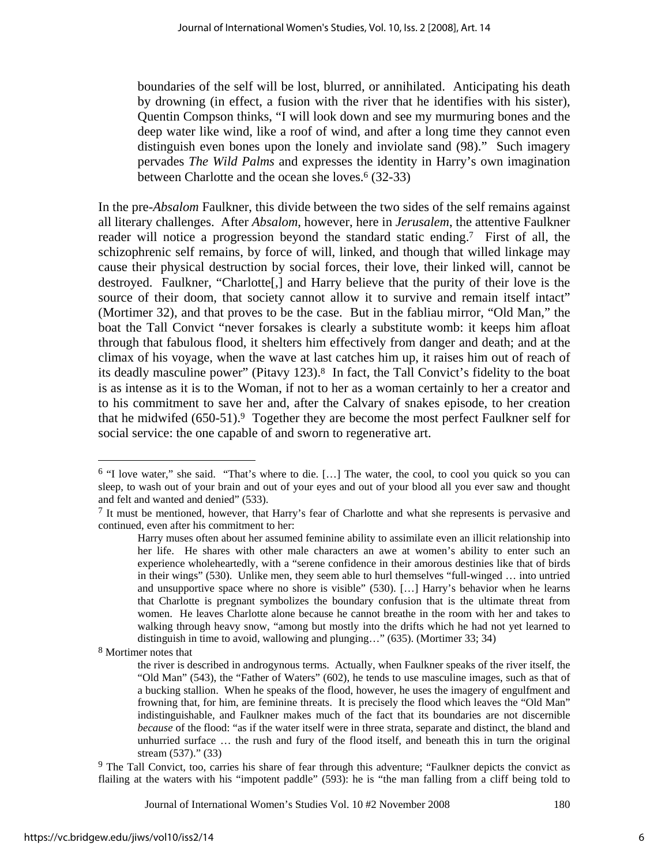boundaries of the self will be lost, blurred, or annihilated. Anticipating his death by drowning (in effect, a fusion with the river that he identifies with his sister), Quentin Compson thinks, "I will look down and see my murmuring bones and the deep water like wind, like a roof of wind, and after a long time they cannot even distinguish even bones upon the lonely and inviolate sand (98)." Such imagery pervades *The Wild Palms* and expresses the identity in Harry's own imagination between Charlotte and the ocean she loves.<sup>6</sup> (32-33)

In the pre-*Absalom* Faulkner, this divide between the two sides of the self remains against all literary challenges. After *Absalom*, however, here in *Jerusalem*, the attentive Faulkner reader will notice a progression beyond the standard static ending.7 First of all, the schizophrenic self remains, by force of will, linked, and though that willed linkage may cause their physical destruction by social forces, their love, their linked will, cannot be destroyed. Faulkner, "Charlotte[,] and Harry believe that the purity of their love is the source of their doom, that society cannot allow it to survive and remain itself intact" (Mortimer 32), and that proves to be the case. But in the fabliau mirror, "Old Man," the boat the Tall Convict "never forsakes is clearly a substitute womb: it keeps him afloat through that fabulous flood, it shelters him effectively from danger and death; and at the climax of his voyage, when the wave at last catches him up, it raises him out of reach of its deadly masculine power" (Pitavy 123).8 In fact, the Tall Convict's fidelity to the boat is as intense as it is to the Woman, if not to her as a woman certainly to her a creator and to his commitment to save her and, after the Calvary of snakes episode, to her creation that he midwifed  $(650-51)$ . Together they are become the most perfect Faulkner self for social service: the one capable of and sworn to regenerative art.

 $\overline{a}$ 

<sup>9</sup> The Tall Convict, too, carries his share of fear through this adventure; "Faulkner depicts the convict as flailing at the waters with his "impotent paddle" (593): he is "the man falling from a cliff being told to

<sup>6 &</sup>quot;I love water," she said. "That's where to die. […] The water, the cool, to cool you quick so you can sleep, to wash out of your brain and out of your eyes and out of your blood all you ever saw and thought and felt and wanted and denied" (533).

<sup>7</sup> It must be mentioned, however, that Harry's fear of Charlotte and what she represents is pervasive and continued, even after his commitment to her:

Harry muses often about her assumed feminine ability to assimilate even an illicit relationship into her life. He shares with other male characters an awe at women's ability to enter such an experience wholeheartedly, with a "serene confidence in their amorous destinies like that of birds in their wings" (530). Unlike men, they seem able to hurl themselves "full-winged … into untried and unsupportive space where no shore is visible" (530). […] Harry's behavior when he learns that Charlotte is pregnant symbolizes the boundary confusion that is the ultimate threat from women. He leaves Charlotte alone because he cannot breathe in the room with her and takes to walking through heavy snow, "among but mostly into the drifts which he had not yet learned to distinguish in time to avoid, wallowing and plunging…" (635). (Mortimer 33; 34)

<sup>8</sup> Mortimer notes that

the river is described in androgynous terms. Actually, when Faulkner speaks of the river itself, the "Old Man" (543), the "Father of Waters" (602), he tends to use masculine images, such as that of a bucking stallion. When he speaks of the flood, however, he uses the imagery of engulfment and frowning that, for him, are feminine threats. It is precisely the flood which leaves the "Old Man" indistinguishable, and Faulkner makes much of the fact that its boundaries are not discernible *because* of the flood: "as if the water itself were in three strata, separate and distinct, the bland and unhurried surface … the rush and fury of the flood itself, and beneath this in turn the original stream (537)." (33)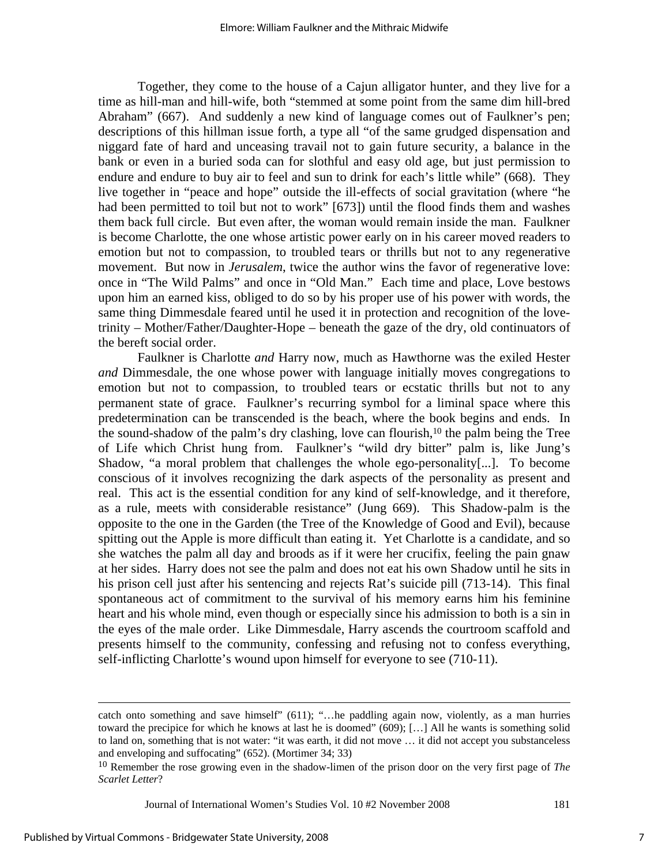Together, they come to the house of a Cajun alligator hunter, and they live for a time as hill-man and hill-wife, both "stemmed at some point from the same dim hill-bred Abraham" (667). And suddenly a new kind of language comes out of Faulkner's pen; descriptions of this hillman issue forth, a type all "of the same grudged dispensation and niggard fate of hard and unceasing travail not to gain future security, a balance in the bank or even in a buried soda can for slothful and easy old age, but just permission to endure and endure to buy air to feel and sun to drink for each's little while" (668). They live together in "peace and hope" outside the ill-effects of social gravitation (where "he had been permitted to toil but not to work" [673]) until the flood finds them and washes them back full circle. But even after, the woman would remain inside the man. Faulkner is become Charlotte, the one whose artistic power early on in his career moved readers to emotion but not to compassion, to troubled tears or thrills but not to any regenerative movement. But now in *Jerusalem*, twice the author wins the favor of regenerative love: once in "The Wild Palms" and once in "Old Man." Each time and place, Love bestows upon him an earned kiss, obliged to do so by his proper use of his power with words, the same thing Dimmesdale feared until he used it in protection and recognition of the lovetrinity – Mother/Father/Daughter-Hope – beneath the gaze of the dry, old continuators of the bereft social order.

Faulkner is Charlotte *and* Harry now, much as Hawthorne was the exiled Hester *and* Dimmesdale, the one whose power with language initially moves congregations to emotion but not to compassion, to troubled tears or ecstatic thrills but not to any permanent state of grace. Faulkner's recurring symbol for a liminal space where this predetermination can be transcended is the beach, where the book begins and ends. In the sound-shadow of the palm's dry clashing, love can flourish,<sup>10</sup> the palm being the Tree of Life which Christ hung from. Faulkner's "wild dry bitter" palm is, like Jung's Shadow, "a moral problem that challenges the whole ego-personality[...]. To become conscious of it involves recognizing the dark aspects of the personality as present and real. This act is the essential condition for any kind of self-knowledge, and it therefore, as a rule, meets with considerable resistance" (Jung 669). This Shadow-palm is the opposite to the one in the Garden (the Tree of the Knowledge of Good and Evil), because spitting out the Apple is more difficult than eating it. Yet Charlotte is a candidate, and so she watches the palm all day and broods as if it were her crucifix, feeling the pain gnaw at her sides. Harry does not see the palm and does not eat his own Shadow until he sits in his prison cell just after his sentencing and rejects Rat's suicide pill (713-14). This final spontaneous act of commitment to the survival of his memory earns him his feminine heart and his whole mind, even though or especially since his admission to both is a sin in the eyes of the male order. Like Dimmesdale, Harry ascends the courtroom scaffold and presents himself to the community, confessing and refusing not to confess everything, self-inflicting Charlotte's wound upon himself for everyone to see (710-11).

catch onto something and save himself" (611); "…he paddling again now, violently, as a man hurries toward the precipice for which he knows at last he is doomed" (609); […] All he wants is something solid to land on, something that is not water: "it was earth, it did not move … it did not accept you substanceless and enveloping and suffocating" (652). (Mortimer 34; 33)

<sup>10</sup> Remember the rose growing even in the shadow-limen of the prison door on the very first page of *The Scarlet Letter*?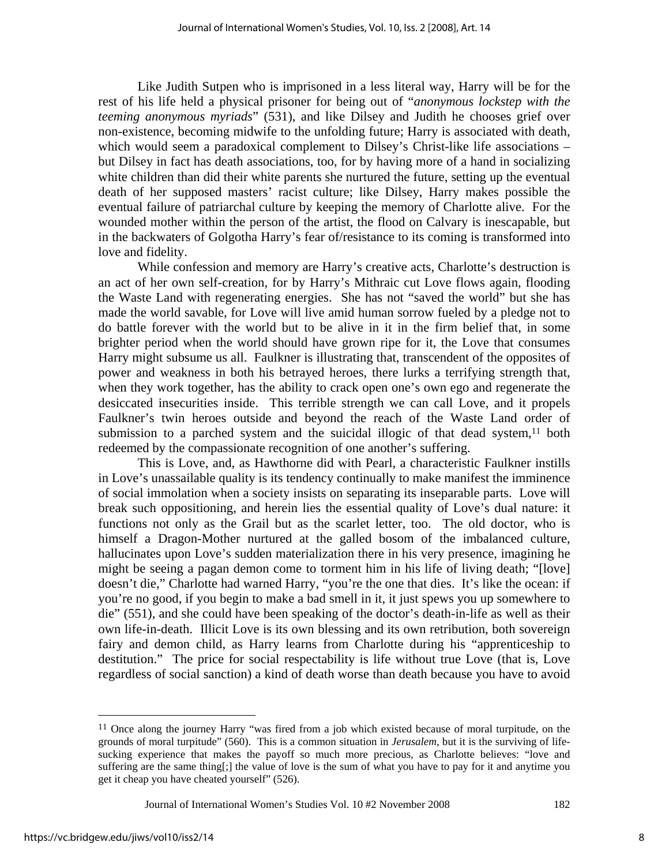Like Judith Sutpen who is imprisoned in a less literal way, Harry will be for the rest of his life held a physical prisoner for being out of "*anonymous lockstep with the teeming anonymous myriads*" (531), and like Dilsey and Judith he chooses grief over non-existence, becoming midwife to the unfolding future; Harry is associated with death, which would seem a paradoxical complement to Dilsey's Christ-like life associations – but Dilsey in fact has death associations, too, for by having more of a hand in socializing white children than did their white parents she nurtured the future, setting up the eventual death of her supposed masters' racist culture; like Dilsey, Harry makes possible the eventual failure of patriarchal culture by keeping the memory of Charlotte alive. For the wounded mother within the person of the artist, the flood on Calvary is inescapable, but in the backwaters of Golgotha Harry's fear of/resistance to its coming is transformed into love and fidelity.

While confession and memory are Harry's creative acts, Charlotte's destruction is an act of her own self-creation, for by Harry's Mithraic cut Love flows again, flooding the Waste Land with regenerating energies. She has not "saved the world" but she has made the world savable, for Love will live amid human sorrow fueled by a pledge not to do battle forever with the world but to be alive in it in the firm belief that, in some brighter period when the world should have grown ripe for it, the Love that consumes Harry might subsume us all. Faulkner is illustrating that, transcendent of the opposites of power and weakness in both his betrayed heroes, there lurks a terrifying strength that, when they work together, has the ability to crack open one's own ego and regenerate the desiccated insecurities inside. This terrible strength we can call Love, and it propels Faulkner's twin heroes outside and beyond the reach of the Waste Land order of submission to a parched system and the suicidal illogic of that dead system, $11$  both redeemed by the compassionate recognition of one another's suffering.

This is Love, and, as Hawthorne did with Pearl, a characteristic Faulkner instills in Love's unassailable quality is its tendency continually to make manifest the imminence of social immolation when a society insists on separating its inseparable parts. Love will break such oppositioning, and herein lies the essential quality of Love's dual nature: it functions not only as the Grail but as the scarlet letter, too. The old doctor, who is himself a Dragon-Mother nurtured at the galled bosom of the imbalanced culture, hallucinates upon Love's sudden materialization there in his very presence, imagining he might be seeing a pagan demon come to torment him in his life of living death; "[love] doesn't die," Charlotte had warned Harry, "you're the one that dies. It's like the ocean: if you're no good, if you begin to make a bad smell in it, it just spews you up somewhere to die" (551), and she could have been speaking of the doctor's death-in-life as well as their own life-in-death. Illicit Love is its own blessing and its own retribution, both sovereign fairy and demon child, as Harry learns from Charlotte during his "apprenticeship to destitution." The price for social respectability is life without true Love (that is, Love regardless of social sanction) a kind of death worse than death because you have to avoid

1

<sup>&</sup>lt;sup>11</sup> Once along the journey Harry "was fired from a job which existed because of moral turpitude, on the grounds of moral turpitude" (560). This is a common situation in *Jerusalem*, but it is the surviving of lifesucking experience that makes the payoff so much more precious, as Charlotte believes: "love and suffering are the same thing[;] the value of love is the sum of what you have to pay for it and anytime you get it cheap you have cheated yourself" (526).

Journal of International Women's Studies Vol. 10 #2 November 2008 182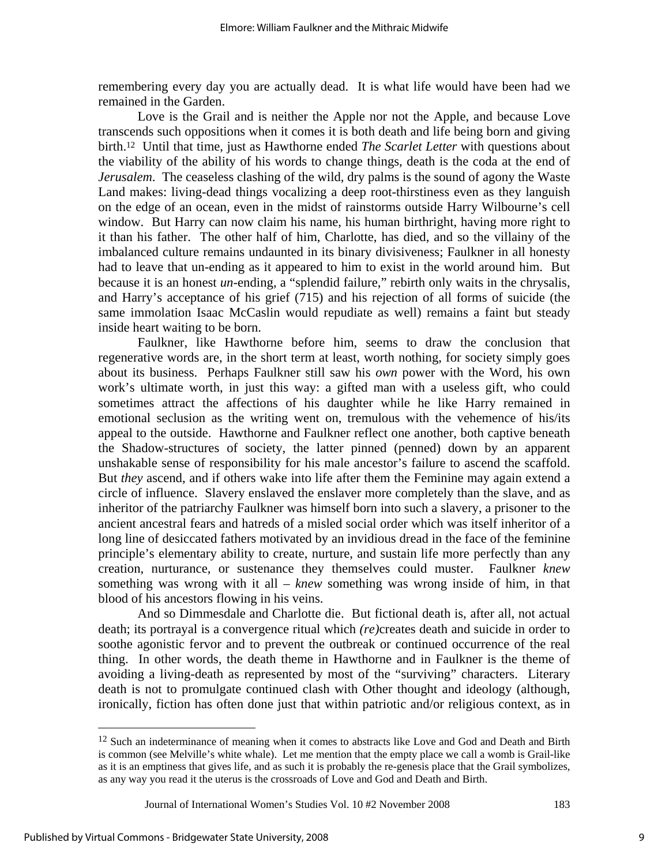remembering every day you are actually dead. It is what life would have been had we remained in the Garden.

Love is the Grail and is neither the Apple nor not the Apple, and because Love transcends such oppositions when it comes it is both death and life being born and giving birth.12 Until that time, just as Hawthorne ended *The Scarlet Letter* with questions about the viability of the ability of his words to change things, death is the coda at the end of *Jerusalem*. The ceaseless clashing of the wild, dry palms is the sound of agony the Waste Land makes: living-dead things vocalizing a deep root-thirstiness even as they languish on the edge of an ocean, even in the midst of rainstorms outside Harry Wilbourne's cell window. But Harry can now claim his name, his human birthright, having more right to it than his father. The other half of him, Charlotte, has died, and so the villainy of the imbalanced culture remains undaunted in its binary divisiveness; Faulkner in all honesty had to leave that un-ending as it appeared to him to exist in the world around him. But because it is an honest *un*-ending, a "splendid failure," rebirth only waits in the chrysalis, and Harry's acceptance of his grief (715) and his rejection of all forms of suicide (the same immolation Isaac McCaslin would repudiate as well) remains a faint but steady inside heart waiting to be born.

Faulkner, like Hawthorne before him, seems to draw the conclusion that regenerative words are, in the short term at least, worth nothing, for society simply goes about its business. Perhaps Faulkner still saw his *own* power with the Word, his own work's ultimate worth, in just this way: a gifted man with a useless gift, who could sometimes attract the affections of his daughter while he like Harry remained in emotional seclusion as the writing went on, tremulous with the vehemence of his/its appeal to the outside. Hawthorne and Faulkner reflect one another, both captive beneath the Shadow-structures of society, the latter pinned (penned) down by an apparent unshakable sense of responsibility for his male ancestor's failure to ascend the scaffold. But *they* ascend, and if others wake into life after them the Feminine may again extend a circle of influence. Slavery enslaved the enslaver more completely than the slave, and as inheritor of the patriarchy Faulkner was himself born into such a slavery, a prisoner to the ancient ancestral fears and hatreds of a misled social order which was itself inheritor of a long line of desiccated fathers motivated by an invidious dread in the face of the feminine principle's elementary ability to create, nurture, and sustain life more perfectly than any creation, nurturance, or sustenance they themselves could muster. Faulkner *knew* something was wrong with it all – *knew* something was wrong inside of him, in that blood of his ancestors flowing in his veins.

And so Dimmesdale and Charlotte die. But fictional death is, after all, not actual death; its portrayal is a convergence ritual which *(re)*creates death and suicide in order to soothe agonistic fervor and to prevent the outbreak or continued occurrence of the real thing. In other words, the death theme in Hawthorne and in Faulkner is the theme of avoiding a living-death as represented by most of the "surviving" characters. Literary death is not to promulgate continued clash with Other thought and ideology (although, ironically, fiction has often done just that within patriotic and/or religious context, as in

 $\overline{a}$ 

<sup>&</sup>lt;sup>12</sup> Such an indeterminance of meaning when it comes to abstracts like Love and God and Death and Birth is common (see Melville's white whale). Let me mention that the empty place we call a womb is Grail-like as it is an emptiness that gives life, and as such it is probably the re-genesis place that the Grail symbolizes, as any way you read it the uterus is the crossroads of Love and God and Death and Birth.

Journal of International Women's Studies Vol. 10 #2 November 2008 183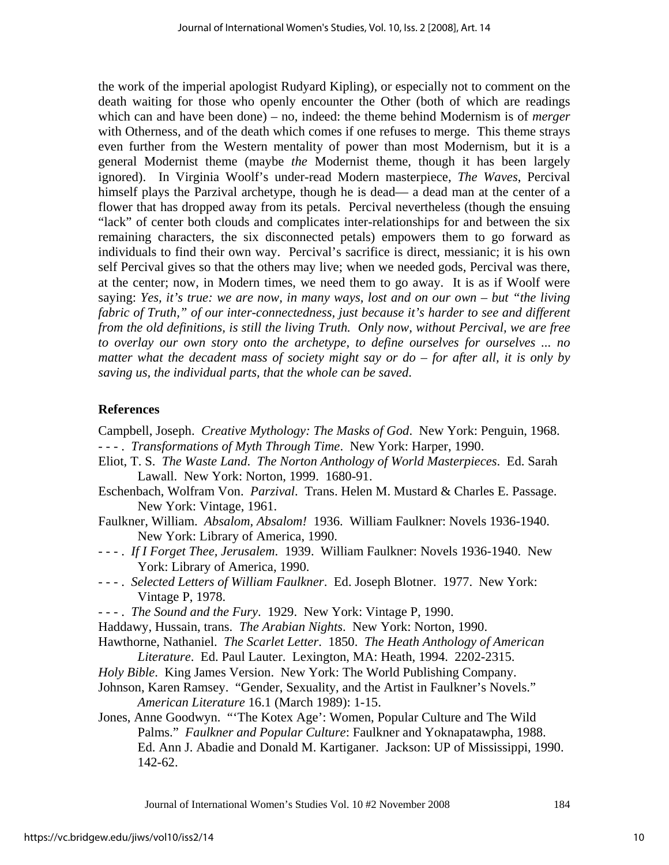the work of the imperial apologist Rudyard Kipling), or especially not to comment on the death waiting for those who openly encounter the Other (both of which are readings which can and have been done) – no, indeed: the theme behind Modernism is of *merger* with Otherness, and of the death which comes if one refuses to merge. This theme strays even further from the Western mentality of power than most Modernism, but it is a general Modernist theme (maybe *the* Modernist theme, though it has been largely ignored). In Virginia Woolf's under-read Modern masterpiece, *The Waves*, Percival himself plays the Parzival archetype, though he is dead— a dead man at the center of a flower that has dropped away from its petals. Percival nevertheless (though the ensuing "lack" of center both clouds and complicates inter-relationships for and between the six remaining characters, the six disconnected petals) empowers them to go forward as individuals to find their own way. Percival's sacrifice is direct, messianic; it is his own self Percival gives so that the others may live; when we needed gods, Percival was there, at the center; now, in Modern times, we need them to go away. It is as if Woolf were saying: *Yes, it's true: we are now, in many ways, lost and on our own – but "the living fabric of Truth," of our inter-connectedness, just because it's harder to see and different from the old definitions, is still the living Truth. Only now, without Percival, we are free to overlay our own story onto the archetype, to define ourselves for ourselves ... no matter what the decadent mass of society might say or do – for after all, it is only by saving us, the individual parts, that the whole can be saved*.

## **References**

Campbell, Joseph. *Creative Mythology: The Masks of God*. New York: Penguin, 1968. - - - . *Transformations of Myth Through Time*. New York: Harper, 1990.

- Eliot, T. S. *The Waste Land*. *The Norton Anthology of World Masterpieces*. Ed. Sarah Lawall. New York: Norton, 1999. 1680-91.
- Eschenbach, Wolfram Von. *Parzival*. Trans. Helen M. Mustard & Charles E. Passage. New York: Vintage, 1961.
- Faulkner, William. *Absalom, Absalom!* 1936. William Faulkner: Novels 1936-1940. New York: Library of America, 1990.
- - . *If I Forget Thee, Jerusalem*. 1939. William Faulkner: Novels 1936-1940. New York: Library of America, 1990.
- - . *Selected Letters of William Faulkner*. Ed. Joseph Blotner. 1977. New York: Vintage P, 1978.
- - . *The Sound and the Fury*. 1929. New York: Vintage P, 1990.
- Haddawy, Hussain, trans. *The Arabian Nights*. New York: Norton, 1990.

Hawthorne, Nathaniel. *The Scarlet Letter*. 1850. *The Heath Anthology of American Literature*. Ed. Paul Lauter. Lexington, MA: Heath, 1994. 2202-2315.

*Holy Bible*. King James Version. New York: The World Publishing Company.

Johnson, Karen Ramsey. "Gender, Sexuality, and the Artist in Faulkner's Novels." *American Literature* 16.1 (March 1989): 1-15.

Jones, Anne Goodwyn. "'The Kotex Age': Women, Popular Culture and The Wild Palms." *Faulkner and Popular Culture*: Faulkner and Yoknapatawpha, 1988. Ed. Ann J. Abadie and Donald M. Kartiganer. Jackson: UP of Mississippi, 1990. 142-62.